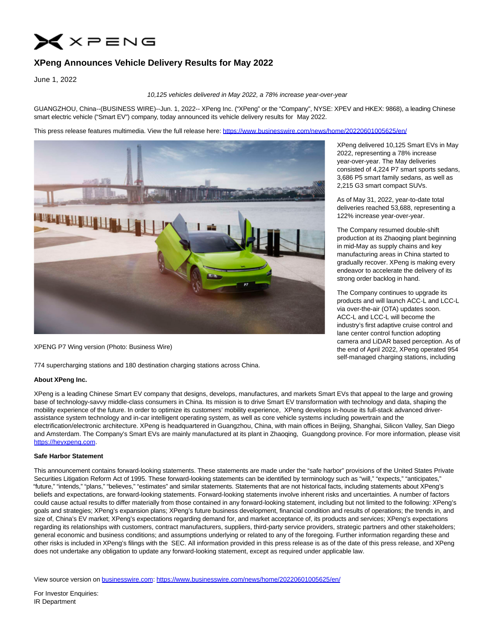# $\bigtimes$  x P ENG

# **XPeng Announces Vehicle Delivery Results for May 2022**

June 1, 2022

## 10,125 vehicles delivered in May 2022, a 78% increase year-over-year

GUANGZHOU, China--(BUSINESS WIRE)--Jun. 1, 2022-- XPeng Inc. ("XPeng" or the "Company", NYSE: XPEV and HKEX: 9868), a leading Chinese smart electric vehicle ("Smart EV") company, today announced its vehicle delivery results for May 2022.

This press release features multimedia. View the full release here:<https://www.businesswire.com/news/home/20220601005625/en/>



XPENG P7 Wing version (Photo: Business Wire)

774 supercharging stations and 180 destination charging stations across China.

### **About XPeng Inc.**

XPeng is a leading Chinese Smart EV company that designs, develops, manufactures, and markets Smart EVs that appeal to the large and growing base of technology-savvy middle-class consumers in China. Its mission is to drive Smart EV transformation with technology and data, shaping the mobility experience of the future. In order to optimize its customers' mobility experience, XPeng develops in-house its full-stack advanced driverassistance system technology and in-car intelligent operating system, as well as core vehicle systems including powertrain and the electrification/electronic architecture. XPeng is headquartered in Guangzhou, China, with main offices in Beijing, Shanghai, Silicon Valley, San Diego and Amsterdam. The Company's Smart EVs are mainly manufactured at its plant in Zhaoqing, Guangdong province. For more information, please visit [https://heyxpeng.com.](https://cts.businesswire.com/ct/CT?id=smartlink&url=https%3A%2F%2Fheyxpeng.com%2F&esheet=52736346&newsitemid=20220601005625&lan=en-US&anchor=https%3A%2F%2Fheyxpeng.com&index=1&md5=64b142e95e7cb2d5059792afaca4a180)

### **Safe Harbor Statement**

This announcement contains forward-looking statements. These statements are made under the "safe harbor" provisions of the United States Private Securities Litigation Reform Act of 1995. These forward-looking statements can be identified by terminology such as "will," "expects," "anticipates," "future," "intends," "plans," "believes," "estimates" and similar statements. Statements that are not historical facts, including statements about XPeng's beliefs and expectations, are forward-looking statements. Forward-looking statements involve inherent risks and uncertainties. A number of factors could cause actual results to differ materially from those contained in any forward-looking statement, including but not limited to the following: XPeng's goals and strategies; XPeng's expansion plans; XPeng's future business development, financial condition and results of operations; the trends in, and size of, China's EV market; XPeng's expectations regarding demand for, and market acceptance of, its products and services; XPeng's expectations regarding its relationships with customers, contract manufacturers, suppliers, third-party service providers, strategic partners and other stakeholders; general economic and business conditions; and assumptions underlying or related to any of the foregoing. Further information regarding these and other risks is included in XPeng's filings with the SEC. All information provided in this press release is as of the date of this press release, and XPeng does not undertake any obligation to update any forward-looking statement, except as required under applicable law.

View source version on [businesswire.com:](http://businesswire.com/)<https://www.businesswire.com/news/home/20220601005625/en/>

For Investor Enquiries: IR Department

XPeng delivered 10,125 Smart EVs in May 2022, representing a 78% increase year-over-year. The May deliveries consisted of 4,224 P7 smart sports sedans, 3,686 P5 smart family sedans, as well as 2,215 G3 smart compact SUVs.

As of May 31, 2022, year-to-date total deliveries reached 53,688, representing a 122% increase year-over-year.

The Company resumed double-shift production at its Zhaoqing plant beginning in mid-May as supply chains and key manufacturing areas in China started to gradually recover. XPeng is making every endeavor to accelerate the delivery of its strong order backlog in hand.

The Company continues to upgrade its products and will launch ACC-L and LCC-L via over-the-air (OTA) updates soon. ACC-L and LCC-L will become the industry's first adaptive cruise control and lane center control function adopting camera and LiDAR based perception. As of the end of April 2022, XPeng operated 954 self-managed charging stations, including